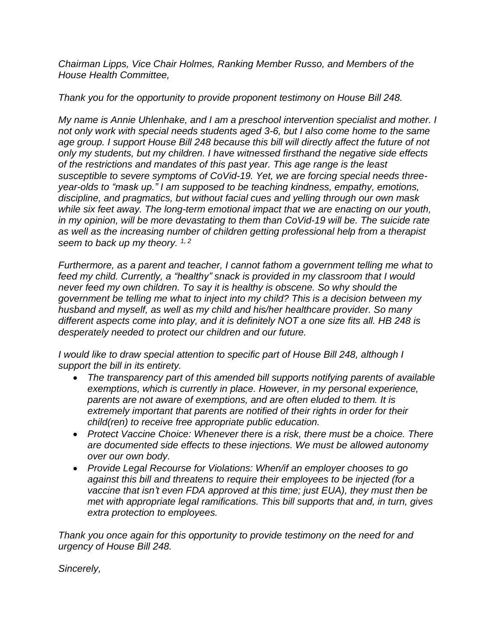*Chairman Lipps, Vice Chair Holmes, Ranking Member Russo, and Members of the House Health Committee,*

## *Thank you for the opportunity to provide proponent testimony on House Bill 248.*

*My name is Annie Uhlenhake, and I am a preschool intervention specialist and mother. I not only work with special needs students aged 3-6, but I also come home to the same age group. I support House Bill 248 because this bill will directly affect the future of not only my students, but my children. I have witnessed firsthand the negative side effects of the restrictions and mandates of this past year. This age range is the least susceptible to severe symptoms of CoVid-19. Yet, we are forcing special needs threeyear-olds to "mask up." I am supposed to be teaching kindness, empathy, emotions, discipline, and pragmatics, but without facial cues and yelling through our own mask while six feet away. The long-term emotional impact that we are enacting on our youth, in my opinion, will be more devastating to them than CoVid-19 will be. The suicide rate as well as the increasing number of children getting professional help from a therapist seem to back up my theory. 1, <sup>2</sup>*

*Furthermore, as a parent and teacher, I cannot fathom a government telling me what to feed my child. Currently, a "healthy" snack is provided in my classroom that I would never feed my own children. To say it is healthy is obscene. So why should the government be telling me what to inject into my child? This is a decision between my husband and myself, as well as my child and his/her healthcare provider. So many different aspects come into play, and it is definitely NOT a one size fits all. HB 248 is desperately needed to protect our children and our future.*

*I would like to draw special attention to specific part of House Bill 248, although I support the bill in its entirety.*

- *The transparency part of this amended bill supports notifying parents of available exemptions, which is currently in place. However, in my personal experience, parents are not aware of exemptions, and are often eluded to them. It is extremely important that parents are notified of their rights in order for their child(ren) to receive free appropriate public education.*
- *Protect Vaccine Choice: Whenever there is a risk, there must be a choice. There are documented side effects to these injections. We must be allowed autonomy over our own body.*
- *Provide Legal Recourse for Violations: When/if an employer chooses to go against this bill and threatens to require their employees to be injected (for a vaccine that isn't even FDA approved at this time; just EUA), they must then be met with appropriate legal ramifications. This bill supports that and, in turn, gives extra protection to employees.*

*Thank you once again for this opportunity to provide testimony on the need for and urgency of House Bill 248.*

*Sincerely,*